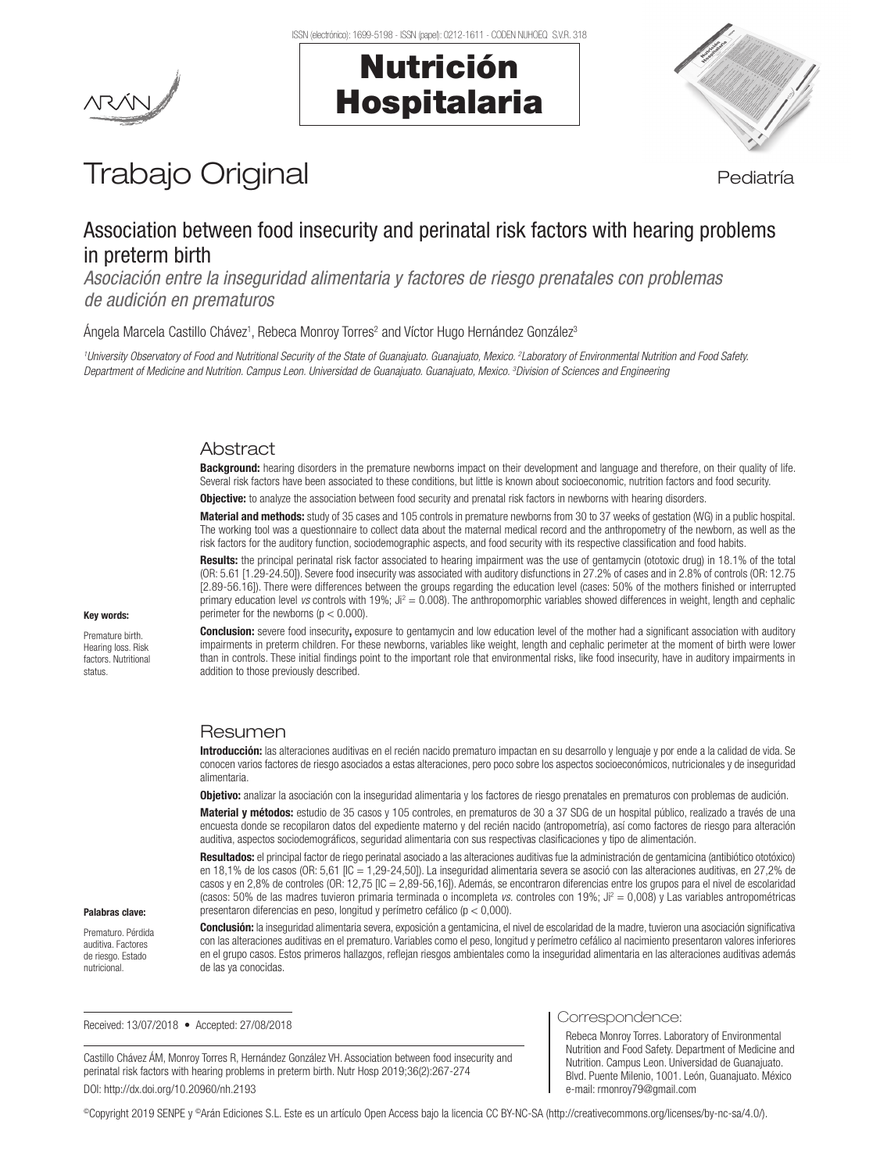Nutrición

Hospitalaria



# Trabajo Original en el estatubación de la pediatría

# Association between food insecurity and perinatal risk factors with hearing problems in preterm birth

*Asociación entre la inseguridad alimentaria y factores de riesgo prenatales con problemas de audición en prematuros*

Ángela Marcela Castillo Chávez<sup>1</sup>, Rebeca Monroy Torres<sup>2</sup> and Víctor Hugo Hernández González<sup>3</sup>

<sup>1</sup>University Observatory of Food and Nutritional Security of the State of Guanajuato. Guanajuato, Mexico. <sup>2</sup>Laboratory of Environmental Nutrition and Food Safety. *Department of Medicine and Nutrition. Campus Leon. Universidad de Guanajuato. Guanajuato, Mexico. 3 Division of Sciences and Engineering*

# **Abstract**

**Background:** hearing disorders in the premature newborns impact on their development and language and therefore, on their quality of life. Several risk factors have been associated to these conditions, but little is known about socioeconomic, nutrition factors and food security.

**Objective:** to analyze the association between food security and prenatal risk factors in newborns with hearing disorders.

Material and methods: study of 35 cases and 105 controls in premature newborns from 30 to 37 weeks of gestation (WG) in a public hospital. The working tool was a questionnaire to collect data about the maternal medical record and the anthropometry of the newborn, as well as the risk factors for the auditory function, sociodemographic aspects, and food security with its respective classification and food habits.

Results: the principal perinatal risk factor associated to hearing impairment was the use of gentamycin (ototoxic drug) in 18.1% of the total (OR: 5.61 [1.29-24.50]). Severe food insecurity was associated with auditory disfunctions in 27.2% of cases and in 2.8% of controls (OR: 12.75 [2.89-56.16]). There were differences between the groups regarding the education level (cases: 50% of the mothers finished or interrupted primary education level *vs* controls with 19%; Ji<sup>2</sup> = 0.008). The anthropomorphic variables showed differences in weight, length and cephalic perimeter for the newborns ( $p < 0.000$ ).

Conclusion: severe food insecurity, exposure to gentamycin and low education level of the mother had a significant association with auditory impairments in preterm children. For these newborns, variables like weight, length and cephalic perimeter at the moment of birth were lower than in controls. These initial findings point to the important role that environmental risks, like food insecurity, have in auditory impairments in addition to those previously described.

# Resumen

Introducción: las alteraciones auditivas en el recién nacido prematuro impactan en su desarrollo y lenguaje y por ende a la calidad de vida. Se conocen varios factores de riesgo asociados a estas alteraciones, pero poco sobre los aspectos socioeconómicos, nutricionales y de inseguridad alimentaria.

Objetivo: analizar la asociación con la inseguridad alimentaria y los factores de riesgo prenatales en prematuros con problemas de audición.

Material y métodos: estudio de 35 casos y 105 controles, en prematuros de 30 a 37 SDG de un hospital público, realizado a través de una encuesta donde se recopilaron datos del expediente materno y del recién nacido (antropometría), así como factores de riesgo para alteración auditiva, aspectos sociodemográficos, seguridad alimentaria con sus respectivas clasificaciones y tipo de alimentación.

Resultados: el principal factor de riego perinatal asociado a las alteraciones auditivas fue la administración de gentamicina (antibiótico ototóxico) en 18,1% de los casos (OR: 5,61 [IC = 1,29-24,50]). La inseguridad alimentaria severa se asoció con las alteraciones auditivas, en 27,2% de casos y en 2,8% de controles (OR: 12,75 [IC = 2,89-56,16]). Además, se encontraron diferencias entre los grupos para el nivel de escolaridad (casos: 50% de las madres tuvieron primaria terminada o incompleta *vs.* controles con 19%; Ji<sup>2</sup> = 0,008) y Las variables antropométricas presentaron diferencias en peso, longitud y perímetro cefálico (p < 0,000).

## Palabras clave:

Key words: Premature birth. Hearing loss. Risk factors. Nutritional status.

Prematuro. Pérdida auditiva. Factores de riesgo. Estado nutricional.

Conclusión: la inseguridad alimentaria severa, exposición a gentamicina, el nivel de escolaridad de la madre, tuvieron una asociación significativa con las alteraciones auditivas en el prematuro. Variables como el peso, longitud y perímetro cefálico al nacimiento presentaron valores inferiores en el grupo casos. Estos primeros hallazgos, reflejan riesgos ambientales como la inseguridad alimentaria en las alteraciones auditivas además de las ya conocidas.

Received: 13/07/2018 • Accepted: 27/08/2018

Castillo Chávez ÁM, Monroy Torres R, Hernández González VH. Association between food insecurity and perinatal risk factors with hearing problems in preterm birth. Nutr Hosp 2019;36(2):267-274 DOI: http://dx.doi.org/10.20960/nh.2193

Correspondence:

Rebeca Monroy Torres. Laboratory of Environmental Nutrition and Food Safety. Department of Medicine and Nutrition. Campus Leon. Universidad de Guanajuato. Blvd. Puente Milenio, 1001. León, Guanajuato. México e-mail: rmonroy79@gmail.com

©Copyright 2019 SENPE y ©Arán Ediciones S.L. Este es un artículo Open Access bajo la licencia CC BY-NC-SA (http://creativecommons.org/licenses/by-nc-sa/4.0/).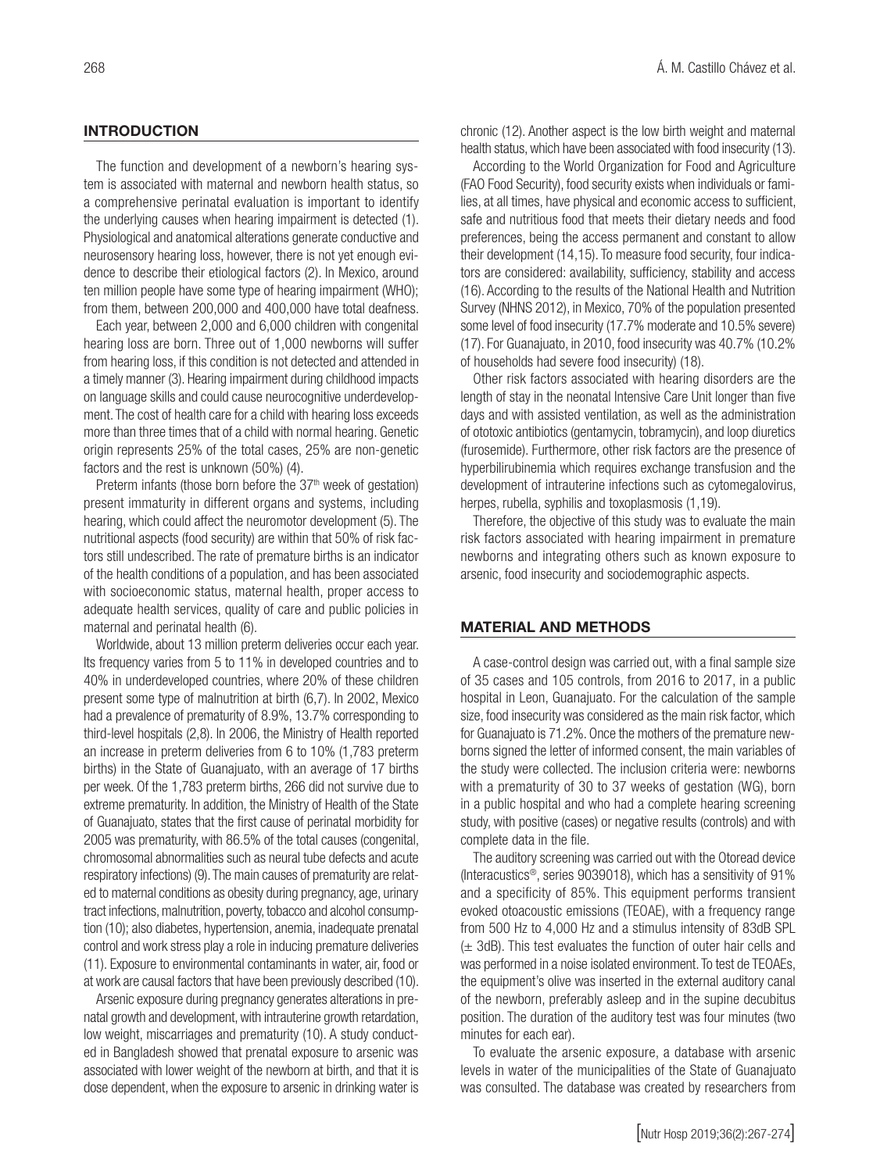# **INTRODUCTION**

The function and development of a newborn's hearing system is associated with maternal and newborn health status, so a comprehensive perinatal evaluation is important to identify the underlying causes when hearing impairment is detected (1). Physiological and anatomical alterations generate conductive and neurosensory hearing loss, however, there is not yet enough evidence to describe their etiological factors (2). In Mexico, around ten million people have some type of hearing impairment (WHO); from them, between 200,000 and 400,000 have total deafness.

Each year, between 2,000 and 6,000 children with congenital hearing loss are born. Three out of 1,000 newborns will suffer from hearing loss, if this condition is not detected and attended in a timely manner (3). Hearing impairment during childhood impacts on language skills and could cause neurocognitive underdevelopment. The cost of health care for a child with hearing loss exceeds more than three times that of a child with normal hearing. Genetic origin represents 25% of the total cases, 25% are non-genetic factors and the rest is unknown (50%) (4).

Preterm infants (those born before the  $37<sup>th</sup>$  week of gestation) present immaturity in different organs and systems, including hearing, which could affect the neuromotor development (5). The nutritional aspects (food security) are within that 50% of risk factors still undescribed. The rate of premature births is an indicator of the health conditions of a population, and has been associated with socioeconomic status, maternal health, proper access to adequate health services, quality of care and public policies in maternal and perinatal health (6).

Worldwide, about 13 million preterm deliveries occur each year. Its frequency varies from 5 to 11% in developed countries and to 40% in underdeveloped countries, where 20% of these children present some type of malnutrition at birth (6,7). In 2002, Mexico had a prevalence of prematurity of 8.9%, 13.7% corresponding to third-level hospitals (2,8). In 2006, the Ministry of Health reported an increase in preterm deliveries from 6 to 10% (1,783 preterm births) in the State of Guanajuato, with an average of 17 births per week. Of the 1,783 preterm births, 266 did not survive due to extreme prematurity. In addition, the Ministry of Health of the State of Guanajuato, states that the first cause of perinatal morbidity for 2005 was prematurity, with 86.5% of the total causes (congenital, chromosomal abnormalities such as neural tube defects and acute respiratory infections) (9). The main causes of prematurity are related to maternal conditions as obesity during pregnancy, age, urinary tract infections, malnutrition, poverty, tobacco and alcohol consumption (10); also diabetes, hypertension, anemia, inadequate prenatal control and work stress play a role in inducing premature deliveries (11). Exposure to environmental contaminants in water, air, food or at work are causal factors that have been previously described (10).

Arsenic exposure during pregnancy generates alterations in prenatal growth and development, with intrauterine growth retardation, low weight, miscarriages and prematurity (10). A study conducted in Bangladesh showed that prenatal exposure to arsenic was associated with lower weight of the newborn at birth, and that it is dose dependent, when the exposure to arsenic in drinking water is chronic (12). Another aspect is the low birth weight and maternal health status, which have been associated with food insecurity (13).

According to the World Organization for Food and Agriculture (FAO Food Security), food security exists when individuals or families, at all times, have physical and economic access to sufficient, safe and nutritious food that meets their dietary needs and food preferences, being the access permanent and constant to allow their development (14,15). To measure food security, four indicators are considered: availability, sufficiency, stability and access (16). According to the results of the National Health and Nutrition Survey (NHNS 2012), in Mexico, 70% of the population presented some level of food insecurity (17.7% moderate and 10.5% severe) (17). For Guanajuato, in 2010, food insecurity was 40.7% (10.2% of households had severe food insecurity) (18).

Other risk factors associated with hearing disorders are the length of stay in the neonatal Intensive Care Unit longer than five days and with assisted ventilation, as well as the administration of ototoxic antibiotics (gentamycin, tobramycin), and loop diuretics (furosemide). Furthermore, other risk factors are the presence of hyperbilirubinemia which requires exchange transfusion and the development of intrauterine infections such as cytomegalovirus, herpes, rubella, syphilis and toxoplasmosis (1,19).

Therefore, the objective of this study was to evaluate the main risk factors associated with hearing impairment in premature newborns and integrating others such as known exposure to arsenic, food insecurity and sociodemographic aspects.

#### MATERIAL AND METHODS

A case-control design was carried out, with a final sample size of 35 cases and 105 controls, from 2016 to 2017, in a public hospital in Leon, Guanajuato. For the calculation of the sample size, food insecurity was considered as the main risk factor, which for Guanajuato is 71.2%. Once the mothers of the premature newborns signed the letter of informed consent, the main variables of the study were collected. The inclusion criteria were: newborns with a prematurity of 30 to 37 weeks of gestation (WG), born in a public hospital and who had a complete hearing screening study, with positive (cases) or negative results (controls) and with complete data in the file.

The auditory screening was carried out with the Otoread device (Interacustics®, series 9039018), which has a sensitivity of 91% and a specificity of 85%. This equipment performs transient evoked otoacoustic emissions (TEOAE), with a frequency range from 500 Hz to 4,000 Hz and a stimulus intensity of 83dB SPL (± 3dB). This test evaluates the function of outer hair cells and was performed in a noise isolated environment. To test de TEOAEs, the equipment's olive was inserted in the external auditory canal of the newborn, preferably asleep and in the supine decubitus position. The duration of the auditory test was four minutes (two minutes for each ear).

To evaluate the arsenic exposure, a database with arsenic levels in water of the municipalities of the State of Guanajuato was consulted. The database was created by researchers from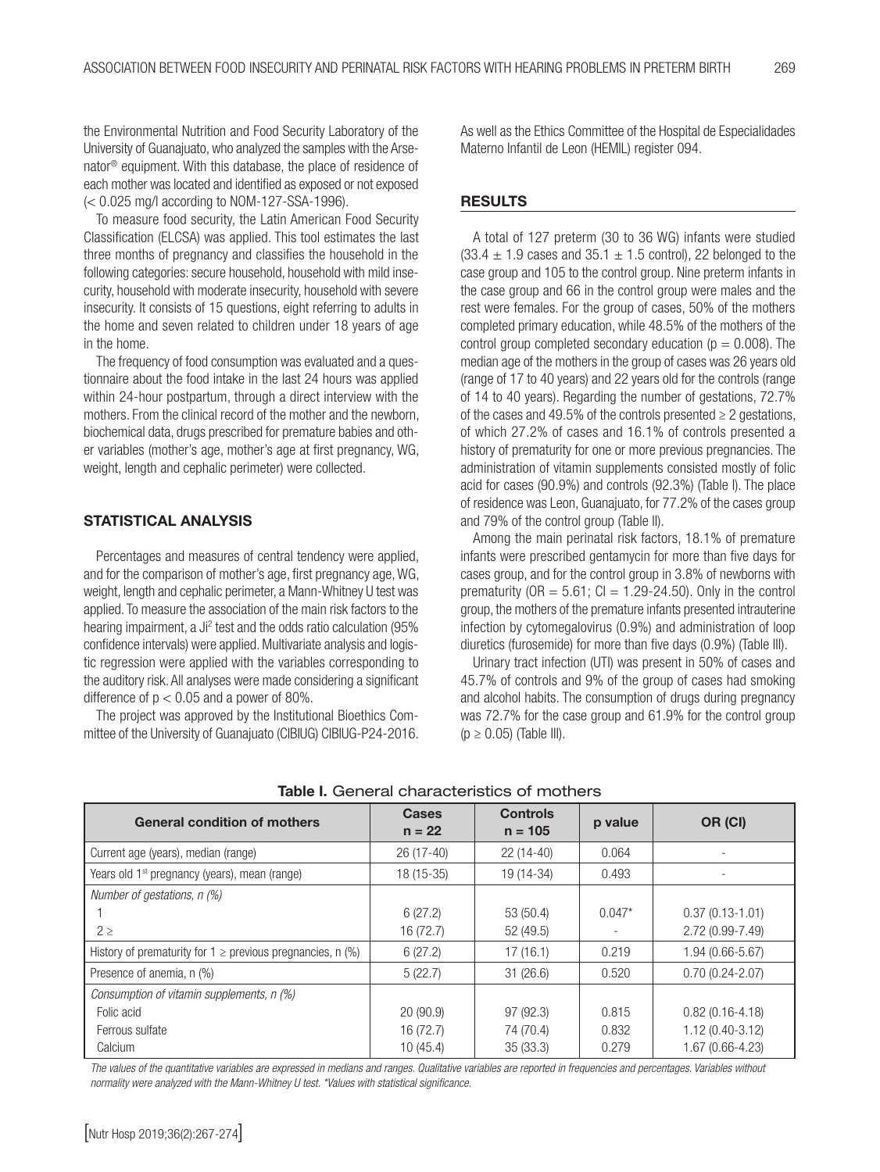the Environmental Nutrition and Food Security Laboratory of the University of Guanajuato, who analyzed the samples with the Arsenator® equipment. With this database, the place of residence of each mother was located and identified as exposed or not exposed (< 0.025 mg/l according to NOM-127-SSA-1996).

To measure food security, the Latin American Food Security Classification (ELCSA) was applied. This tool estimates the last three months of pregnancy and classifies the household in the following categories: secure household, household with mild insecurity, household with moderate insecurity, household with severe insecurity. It consists of 15 questions, eight referring to adults in the home and seven related to children under 18 years of age in the home.

The frequency of food consumption was evaluated and a questionnaire about the food intake in the last 24 hours was applied within 24-hour postpartum, through a direct interview with the mothers. From the clinical record of the mother and the newborn, biochemical data, drugs prescribed for premature babies and other variables (mother's age, mother's age at first pregnancy, WG, weight, length and cephalic perimeter) were collected.

# STATISTICAL ANALYSIS

Percentages and measures of central tendency were applied, and for the comparison of mother's age, first pregnancy age, WG, weight, length and cephalic perimeter, a Mann-Whitney U test was applied. To measure the association of the main risk factors to the hearing impairment, a Ji<sup>2</sup> test and the odds ratio calculation (95% confidence intervals) were applied. Multivariate analysis and logistic regression were applied with the variables corresponding to the auditory risk. All analyses were made considering a significant difference of  $p < 0.05$  and a power of 80%.

The project was approved by the Institutional Bioethics Committee of the University of Guanajuato (CIBIUG) CIBIUG-P24-2016. As well as the Ethics Committee of the Hospital de Especialidades Materno Infantil de Leon (HEMIL) register 094.

## **RESULTS**

A total of 127 preterm (30 to 36 WG) infants were studied  $(33.4 \pm 1.9 \text{ cases and } 35.1 \pm 1.5 \text{ control})$ , 22 belonged to the case group and 105 to the control group. Nine preterm infants in the case group and 66 in the control group were males and the rest were females. For the group of cases, 50% of the mothers completed primary education, while 48.5% of the mothers of the control group completed secondary education ( $p = 0.008$ ). The median age of the mothers in the group of cases was 26 years old (range of 17 to 40 years) and 22 years old for the controls (range of 14 to 40 years). Regarding the number of gestations, 72.7% of the cases and 49.5% of the controls presented  $\geq 2$  gestations, of which 27.2% of cases and 16.1% of controls presented a history of prematurity for one or more previous pregnancies. The administration of vitamin supplements consisted mostly of folic acid for cases (90.9%) and controls (92.3%) (Table I). The place of residence was Leon, Guanajuato, for 77.2% of the cases group and 79% of the control group (Table II).

Among the main perinatal risk factors, 18.1% of premature infants were prescribed gentamycin for more than five days for cases group, and for the control group in 3.8% of newborns with prematurity ( $OR = 5.61$ ;  $Cl = 1.29-24.50$ ). Only in the control group, the mothers of the premature infants presented intrauterine infection by cytomegalovirus (0.9%) and administration of loop diuretics (furosemide) for more than five days (0.9%) (Table III).

Urinary tract infection (UTI) was present in 50% of cases and 45.7% of controls and 9% of the group of cases had smoking and alcohol habits. The consumption of drugs during pregnancy was 72.7% for the case group and 61.9% for the control group  $(p \geq 0.05)$  (Table III).

| <b>General condition of mothers</b>                            | <b>Cases</b><br>$n = 22$ | <b>Controls</b><br>$n = 105$ | p value  | OR (CI)             |
|----------------------------------------------------------------|--------------------------|------------------------------|----------|---------------------|
| Current age (years), median (range)                            | $26(17-40)$              | $22(14-40)$                  | 0.064    |                     |
| Years old 1 <sup>st</sup> pregnancy (years), mean (range)      | $18(15-35)$              | 19 (14-34)                   | 0.493    |                     |
| Number of gestations, $n$ (%)                                  |                          |                              |          |                     |
|                                                                | 6(27.2)                  | 53 (50.4)                    | $0.047*$ | $0.37(0.13 - 1.01)$ |
| $2 \geq$                                                       | 16 (72.7)                | 52 (49.5)                    |          | 2.72 (0.99-7.49)    |
| History of prematurity for $1 \ge$ previous pregnancies, n (%) | 6(27.2)                  | 17(16.1)                     | 0.219    | 1.94 (0.66-5.67)    |
| Presence of anemia, n (%)                                      | 5(22.7)                  | 31(26.6)                     | 0.520    | $0.70(0.24 - 2.07)$ |
| Consumption of vitamin supplements, n (%)                      |                          |                              |          |                     |
| Folic acid                                                     | 20(90.9)                 | 97 (92.3)                    | 0.815    | $0.82(0.16 - 4.18)$ |
| Ferrous sulfate                                                | 16 (72.7)                | 74 (70.4)                    | 0.832    | $1.12(0.40-3.12)$   |
| Calcium                                                        | 10(45.4)                 | 35(33.3)                     | 0.279    | 1.67 (0.66-4.23)    |

Table I. General characteristics of mothers

*The values of the quantitative variables are expressed in medians and ranges. Qualitative variables are reported in frequencies and percentages. Variables without normality were analyzed with the Mann-Whitney U test. \*Values with statistical significance.*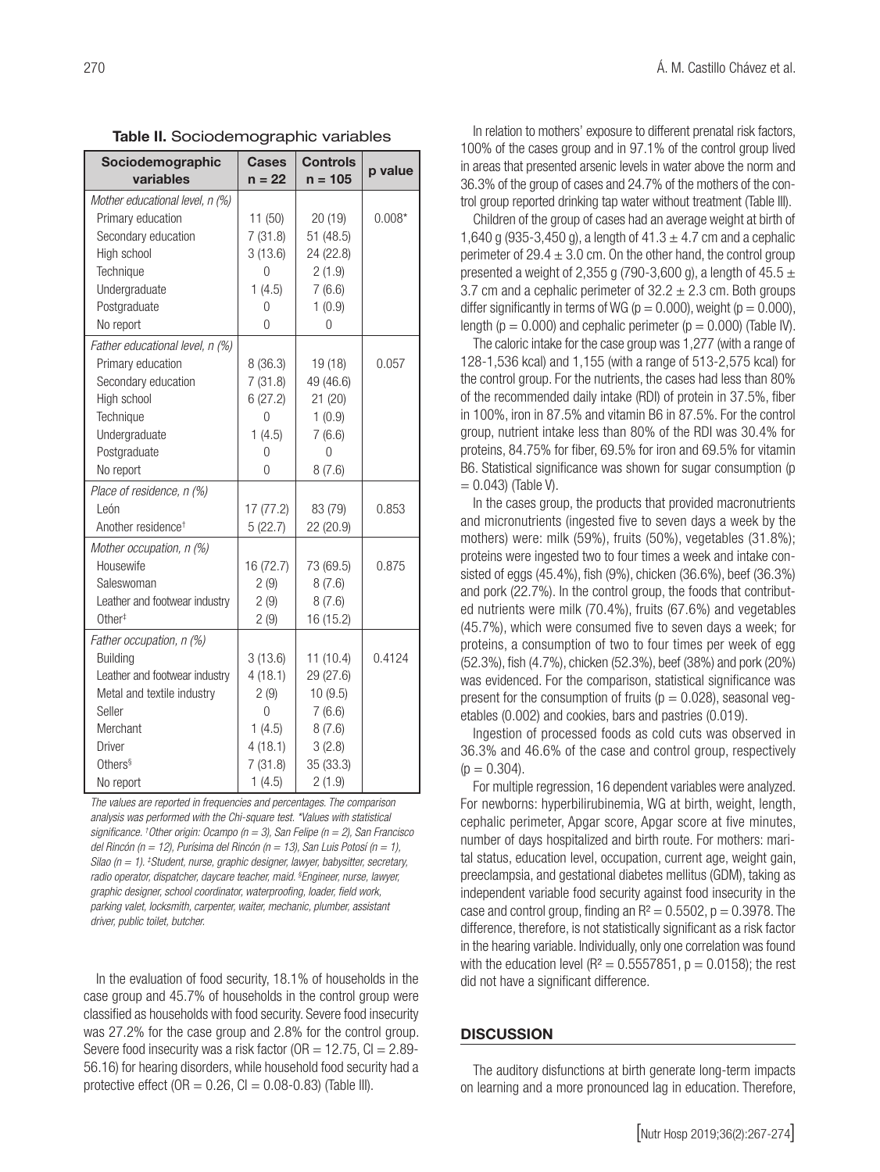| Sociodemographic<br>variables   | <b>Cases</b><br>$n = 22$ | <b>Controls</b><br>$n = 105$ | p value  |
|---------------------------------|--------------------------|------------------------------|----------|
| Mother educational level, n (%) |                          |                              |          |
| Primary education               | 11(50)                   | 20(19)                       | $0.008*$ |
| Secondary education             | 7(31.8)                  | 51 (48.5)                    |          |
| High school                     | 3(13.6)                  | 24 (22.8)                    |          |
| Technique                       | 0                        | 2(1.9)                       |          |
| Undergraduate                   | 1(4.5)                   | 7(6.6)                       |          |
| Postgraduate                    | 0                        | 1(0.9)                       |          |
| No report                       | 0                        | 0                            |          |
| Father educational level, n (%) |                          |                              |          |
| Primary education               | 8 (36.3)                 | 19 (18)                      | 0.057    |
| Secondary education             | 7(31.8)                  | 49 (46.6)                    |          |
| High school                     | 6(27.2)                  | 21 (20)                      |          |
| Technique                       | 0                        | 1(0.9)                       |          |
| Undergraduate                   | 1(4.5)                   | 7(6.6)                       |          |
| Postgraduate                    | 0                        | $\Omega$                     |          |
| No report                       | 0                        | 8(7.6)                       |          |
| Place of residence, n (%)       |                          |                              |          |
| León                            | 17(77.2)                 | 83 (79)                      | 0.853    |
| Another residence <sup>+</sup>  | 5(22.7)                  | 22 (20.9)                    |          |
| Mother occupation, n (%)        |                          |                              |          |
| Housewife                       | 16 (72.7)                | 73 (69.5)                    | 0.875    |
| Saleswoman                      | 2(9)                     | 8(7.6)                       |          |
| Leather and footwear industry   | 2(9)                     | 8(7.6)                       |          |
| Other <sup>#</sup>              | 2(9)                     | 16 (15.2)                    |          |
| Father occupation, n (%)        |                          |                              |          |
| <b>Building</b>                 | 3(13.6)                  | 11(10.4)                     | 0.4124   |
| Leather and footwear industry   | 4(18.1)                  | 29 (27.6)                    |          |
| Metal and textile industry      | 2(9)                     | 10(9.5)                      |          |
| Seller                          | $\overline{0}$           | 7(6.6)                       |          |
| Merchant                        | 1(4.5)                   | 8(7.6)                       |          |
| <b>Driver</b>                   | 4(18.1)                  | 3(2.8)                       |          |
| Others <sup>§</sup>             | 7(31.8)                  | 35 (33.3)                    |          |
| No report                       | 1(4.5)                   | 2(1.9)                       |          |

Table II. Sociodemographic variables

*The values are reported in frequencies and percentages. The comparison analysis was performed with the Chi-square test. \*Values with statistical significance. † Other origin: Ocampo (n = 3), San Felipe (n = 2), San Francisco del Rincón (n = 12), Purísima del Rincón (n = 13), San Luis Potosí (n = 1), Silao (n = 1). ‡ Student, nurse, graphic designer, lawyer, babysitter, secretary, radio operator, dispatcher, daycare teacher, maid. § Engineer, nurse, lawyer, graphic designer, school coordinator, waterproofing, loader, field work, parking valet, locksmith, carpenter, waiter, mechanic, plumber, assistant driver, public toilet, butcher.* 

In the evaluation of food security, 18.1% of households in the case group and 45.7% of households in the control group were classified as households with food security. Severe food insecurity was 27.2% for the case group and 2.8% for the control group. Severe food insecurity was a risk factor ( $OR = 12.75$ ,  $Cl = 2.89$ -56.16) for hearing disorders, while household food security had a protective effect ( $OR = 0.26$ ,  $CI = 0.08 - 0.83$ ) (Table III).

In relation to mothers' exposure to different prenatal risk factors, 100% of the cases group and in 97.1% of the control group lived in areas that presented arsenic levels in water above the norm and 36.3% of the group of cases and 24.7% of the mothers of the control group reported drinking tap water without treatment (Table III).

Children of the group of cases had an average weight at birth of 1,640 g (935-3,450 g), a length of  $41.3 \pm 4.7$  cm and a cephalic perimeter of  $29.4 \pm 3.0$  cm. On the other hand, the control group presented a weight of 2,355 g (790-3,600 g), a length of  $45.5 \pm$ 3.7 cm and a cephalic perimeter of  $32.2 \pm 2.3$  cm. Both groups differ significantly in terms of WG ( $p = 0.000$ ), weight ( $p = 0.000$ ), length ( $p = 0.000$ ) and cephalic perimeter ( $p = 0.000$ ) (Table IV).

The caloric intake for the case group was 1,277 (with a range of 128-1,536 kcal) and 1,155 (with a range of 513-2,575 kcal) for the control group. For the nutrients, the cases had less than 80% of the recommended daily intake (RDI) of protein in 37.5%, fiber in 100%, iron in 87.5% and vitamin B6 in 87.5%. For the control group, nutrient intake less than 80% of the RDI was 30.4% for proteins, 84.75% for fiber, 69.5% for iron and 69.5% for vitamin B6. Statistical significance was shown for sugar consumption (p  $= 0.043$  (Table V).

In the cases group, the products that provided macronutrients and micronutrients (ingested five to seven days a week by the mothers) were: milk (59%), fruits (50%), vegetables (31.8%); proteins were ingested two to four times a week and intake consisted of eggs (45.4%), fish (9%), chicken (36.6%), beef (36.3%) and pork (22.7%). In the control group, the foods that contributed nutrients were milk (70.4%), fruits (67.6%) and vegetables (45.7%), which were consumed five to seven days a week; for proteins, a consumption of two to four times per week of egg (52.3%), fish (4.7%), chicken (52.3%), beef (38%) and pork (20%) was evidenced. For the comparison, statistical significance was present for the consumption of fruits ( $p = 0.028$ ), seasonal vegetables (0.002) and cookies, bars and pastries (0.019).

Ingestion of processed foods as cold cuts was observed in 36.3% and 46.6% of the case and control group, respectively  $(p = 0.304)$ .

For multiple regression, 16 dependent variables were analyzed. For newborns: hyperbilirubinemia, WG at birth, weight, length, cephalic perimeter, Apgar score, Apgar score at five minutes, number of days hospitalized and birth route. For mothers: marital status, education level, occupation, current age, weight gain, preeclampsia, and gestational diabetes mellitus (GDM), taking as independent variable food security against food insecurity in the case and control group, finding an  $R^2 = 0.5502$ ,  $p = 0.3978$ . The difference, therefore, is not statistically significant as a risk factor in the hearing variable. Individually, only one correlation was found with the education level ( $R^2 = 0.5557851$ ,  $p = 0.0158$ ); the rest did not have a significant difference.

#### **DISCUSSION**

The auditory disfunctions at birth generate long-term impacts on learning and a more pronounced lag in education. Therefore,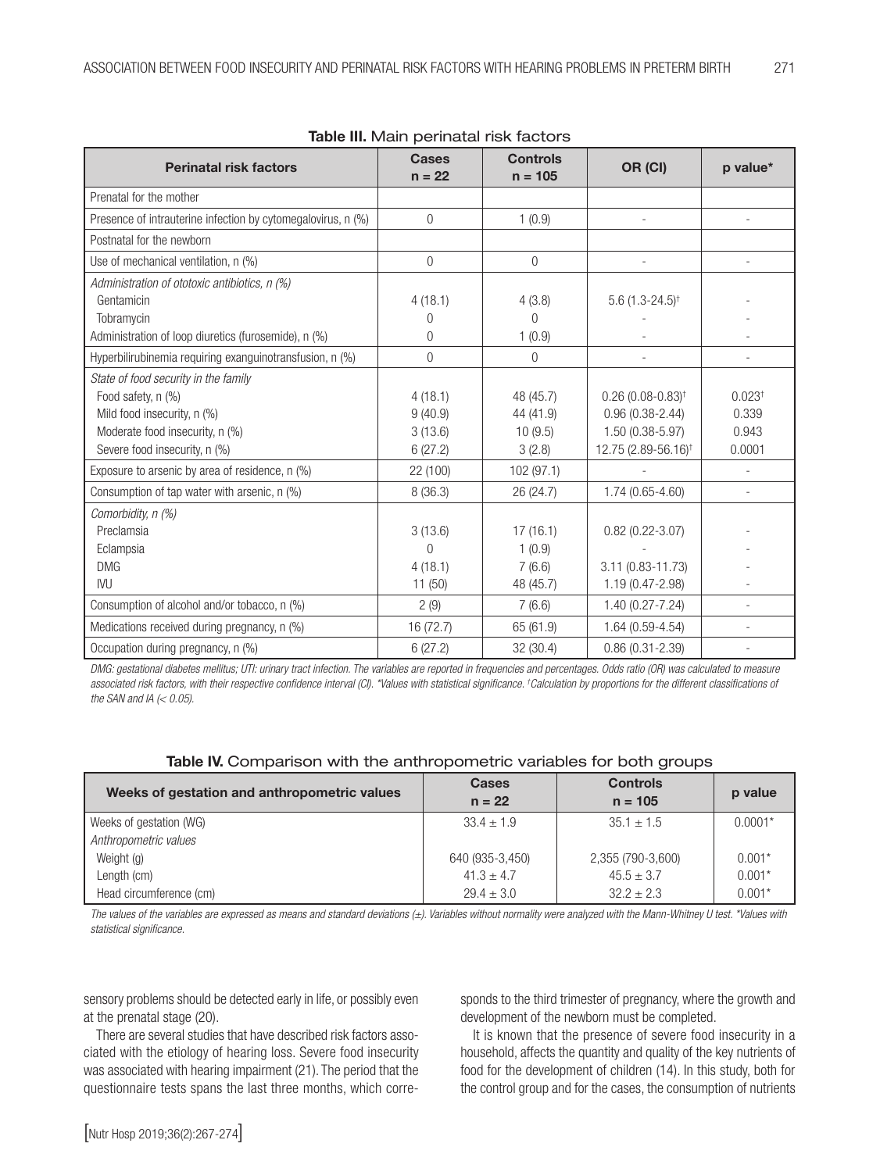| <b>Perinatal risk factors</b>                                | <u>awio ilii ividii i porii ideal rich raceci c</u><br><b>Cases</b><br>$n = 22$ | <b>Controls</b> | OR (CI)                         | p value*           |
|--------------------------------------------------------------|---------------------------------------------------------------------------------|-----------------|---------------------------------|--------------------|
|                                                              |                                                                                 | $n = 105$       |                                 |                    |
| Prenatal for the mother                                      |                                                                                 |                 |                                 |                    |
| Presence of intrauterine infection by cytomegalovirus, n (%) | $\overline{0}$                                                                  | 1(0.9)          |                                 |                    |
| Postnatal for the newborn                                    |                                                                                 |                 |                                 |                    |
| Use of mechanical ventilation, n (%)                         | $\overline{0}$                                                                  | 0               |                                 |                    |
| Administration of ototoxic antibiotics, n (%)                |                                                                                 |                 |                                 |                    |
| Gentamicin                                                   | 4(18.1)                                                                         | 4(3.8)          | 5.6 $(1.3 - 24.5)^{\dagger}$    |                    |
| Tobramycin                                                   | 0                                                                               | $\Omega$        |                                 |                    |
| Administration of loop diuretics (furosemide), n (%)         | $\theta$                                                                        | 1(0.9)          |                                 |                    |
| Hyperbilirubinemia requiring exanguinotransfusion, n (%)     | $\overline{0}$                                                                  | $\theta$        |                                 |                    |
| State of food security in the family                         |                                                                                 |                 |                                 |                    |
| Food safety, n (%)                                           | 4(18.1)                                                                         | 48 (45.7)       | $0.26(0.08-0.83)$ <sup>†</sup>  | 0.023 <sup>†</sup> |
| Mild food insecurity, n (%)                                  | 9(40.9)                                                                         | 44 (41.9)       | $0.96(0.38 - 2.44)$             | 0.339              |
| Moderate food insecurity, n (%)                              | 3(13.6)                                                                         | 10(9.5)         | 1.50 (0.38-5.97)                | 0.943              |
| Severe food insecurity, n (%)                                | 6(27.2)                                                                         | 3(2.8)          | 12.75 (2.89-56.16) <sup>†</sup> | 0.0001             |
| Exposure to arsenic by area of residence, n (%)              | 22 (100)                                                                        | 102 (97.1)      |                                 |                    |
| Consumption of tap water with arsenic, n (%)                 | 8 (36.3)                                                                        | 26 (24.7)       | 1.74 (0.65-4.60)                | ٠                  |
| Comorbidity, n (%)                                           |                                                                                 |                 |                                 |                    |
| Preclamsia                                                   | 3(13.6)                                                                         | 17(16.1)        | $0.82(0.22 - 3.07)$             |                    |
| Eclampsia                                                    | $\Omega$                                                                        | 1(0.9)          |                                 |                    |
| <b>DMG</b>                                                   | 4(18.1)                                                                         | 7(6.6)          | 3.11 (0.83-11.73)               |                    |
| <b>IVU</b>                                                   | 11(50)                                                                          | 48 (45.7)       | 1.19 (0.47-2.98)                |                    |
| Consumption of alcohol and/or tobacco, n (%)                 | 2(9)                                                                            | 7(6.6)          | $1.40(0.27 - 7.24)$             |                    |
| Medications received during pregnancy, n (%)                 | 16 (72.7)                                                                       | 65 (61.9)       | $1.64(0.59-4.54)$               |                    |
| Occupation during pregnancy, n (%)                           | 6(27.2)                                                                         | 32 (30.4)       | $0.86(0.31 - 2.39)$             |                    |

Table III. Main perinatal risk factors

*DMG: gestational diabetes mellitus; UTI: urinary tract infection. The variables are reported in frequencies and percentages. Odds ratio (OR) was calculated to measure associated risk factors, with their respective confidence interval (CI). \*Values with statistical significance. † Calculation by proportions for the different classifications of the SAN and IA (< 0.05).* 

| Weeks of gestation and anthropometric values | <b>Cases</b><br>$n = 22$ | <b>Controls</b><br>$n = 105$ | p value   |
|----------------------------------------------|--------------------------|------------------------------|-----------|
| Weeks of gestation (WG)                      | $33.4 \pm 1.9$           | $35.1 \pm 1.5$               | $0.0001*$ |
| Anthropometric values                        |                          |                              |           |
| Weight (g)                                   | 640 (935-3,450)          | 2,355 (790-3,600)            | $0.001*$  |
| Length (cm)                                  | $41.3 \pm 4.7$           | $45.5 \pm 3.7$               | $0.001*$  |
| Head circumference (cm)                      | $29.4 \pm 3.0$           | $32.2 + 2.3$                 | $0.001*$  |

*The values of the variables are expressed as means and standard deviations (±). Variables without normality were analyzed with the Mann-Whitney U test. \*Values with statistical significance.*

sensory problems should be detected early in life, or possibly even at the prenatal stage (20).

There are several studies that have described risk factors associated with the etiology of hearing loss. Severe food insecurity was associated with hearing impairment (21). The period that the questionnaire tests spans the last three months, which corresponds to the third trimester of pregnancy, where the growth and development of the newborn must be completed.

It is known that the presence of severe food insecurity in a household, affects the quantity and quality of the key nutrients of food for the development of children (14). In this study, both for the control group and for the cases, the consumption of nutrients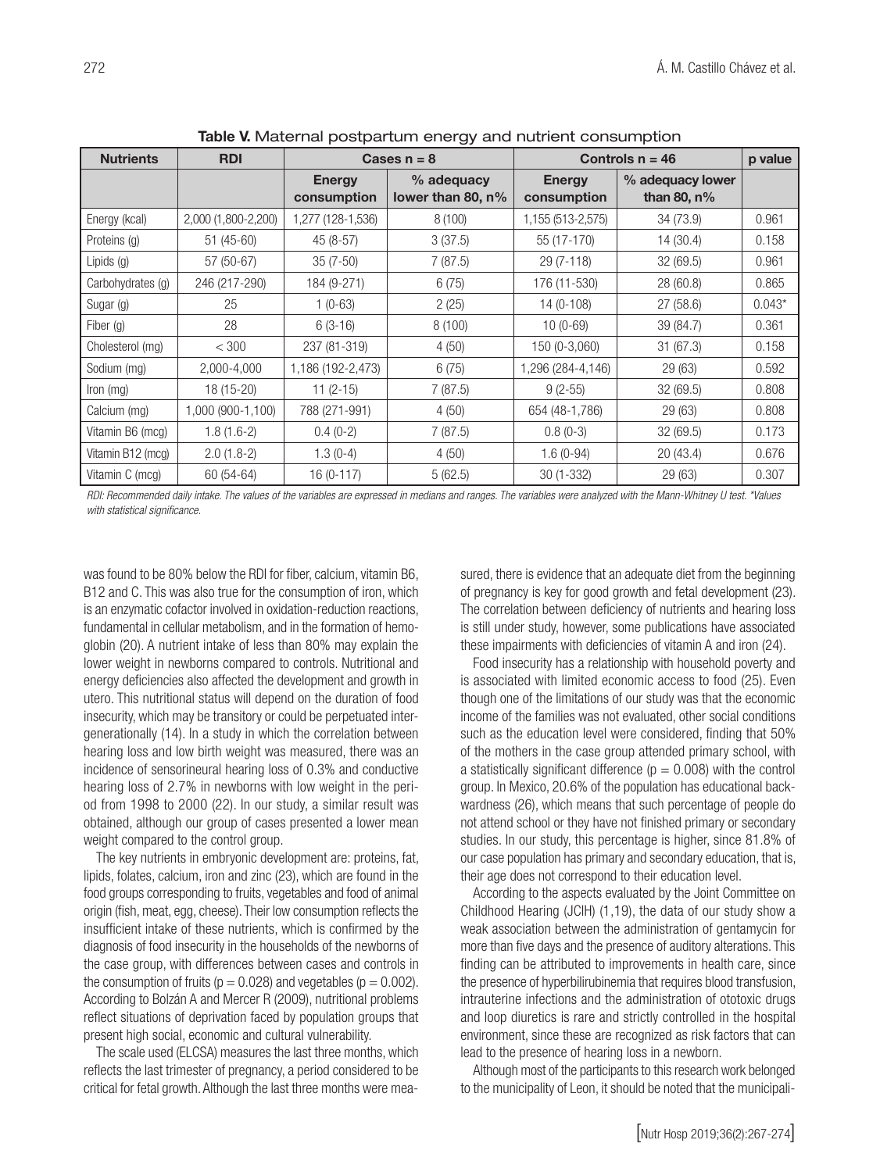| <b>Nutrients</b>  | <b>RDI</b>          | Cases $n = 8$                |                                    | Controls $n = 46$            | p value                            |          |
|-------------------|---------------------|------------------------------|------------------------------------|------------------------------|------------------------------------|----------|
|                   |                     | <b>Energy</b><br>consumption | % adequacy<br>lower than 80, $n\%$ | <b>Energy</b><br>consumption | % adequacy lower<br>than 80, $n\%$ |          |
| Energy (kcal)     | 2,000 (1,800-2,200) | 1,277 (128-1,536)            | 8(100)                             | 1,155 (513-2,575)            | 34 (73.9)                          | 0.961    |
| Proteins (g)      | 51 (45-60)          | 45 (8-57)                    | 3(37.5)                            | 55 (17-170)                  | 14 (30.4)                          | 0.158    |
| Lipids (g)        | 57 (50-67)          | $35(7-50)$                   | 7(87.5)                            | 29 (7-118)                   | 32(69.5)                           | 0.961    |
| Carbohydrates (g) | 246 (217-290)       | 184 (9-271)                  | 6(75)                              | 176 (11-530)                 | 28 (60.8)                          | 0.865    |
| Sugar (g)         | 25                  | $1(0-63)$                    | 2(25)                              | 14 (0-108)                   | 27(58.6)                           | $0.043*$ |
| Fiber (g)         | 28                  | $6(3-16)$                    | 8(100)                             | $10(0-69)$                   | 39 (84.7)                          | 0.361    |
| Cholesterol (mg)  | < 300               | 237 (81-319)                 | 4(50)                              | 150 (0-3,060)                | 31(67.3)                           | 0.158    |
| Sodium (mg)       | 2,000-4,000         | 1,186 (192-2,473)            | 6(75)                              | 1,296 (284-4,146)            | 29 (63)                            | 0.592    |
| Iron (mg)         | 18 (15-20)          | $11(2-15)$                   | 7(87.5)                            | $9(2-55)$                    | 32 (69.5)                          | 0.808    |
| Calcium (mg)      | 1,000 (900-1,100)   | 788 (271-991)                | 4(50)                              | 654 (48-1,786)               | 29(63)                             | 0.808    |
| Vitamin B6 (mcg)  | $1.8(1.6-2)$        | $0.4(0-2)$                   | 7(87.5)                            | $0.8(0-3)$                   | 32 (69.5)                          | 0.173    |
| Vitamin B12 (mcg) | $2.0(1.8-2)$        | $1.3(0-4)$                   | 4(50)                              | $1.6(0-94)$                  | 20 (43.4)                          | 0.676    |
| Vitamin C (mcg)   | 60 (54-64)          | $16(0-117)$                  | 5(62.5)                            | 30 (1-332)                   | 29 (63)                            | 0.307    |

Table V. Maternal postpartum energy and nutrient consumption

*RDI: Recommended daily intake. The values of the variables are expressed in medians and ranges. The variables were analyzed with the Mann-Whitney U test. \*Values with statistical significance.*

was found to be 80% below the RDI for fiber, calcium, vitamin B6, B12 and C. This was also true for the consumption of iron, which is an enzymatic cofactor involved in oxidation-reduction reactions, fundamental in cellular metabolism, and in the formation of hemoglobin (20). A nutrient intake of less than 80% may explain the lower weight in newborns compared to controls. Nutritional and energy deficiencies also affected the development and growth in utero. This nutritional status will depend on the duration of food insecurity, which may be transitory or could be perpetuated intergenerationally (14). In a study in which the correlation between hearing loss and low birth weight was measured, there was an incidence of sensorineural hearing loss of 0.3% and conductive hearing loss of 2.7% in newborns with low weight in the period from 1998 to 2000 (22). In our study, a similar result was obtained, although our group of cases presented a lower mean weight compared to the control group.

The key nutrients in embryonic development are: proteins, fat, lipids, folates, calcium, iron and zinc (23), which are found in the food groups corresponding to fruits, vegetables and food of animal origin (fish, meat, egg, cheese). Their low consumption reflects the insufficient intake of these nutrients, which is confirmed by the diagnosis of food insecurity in the households of the newborns of the case group, with differences between cases and controls in the consumption of fruits ( $p = 0.028$ ) and vegetables ( $p = 0.002$ ). According to Bolzán A and Mercer R (2009), nutritional problems reflect situations of deprivation faced by population groups that present high social, economic and cultural vulnerability.

The scale used (ELCSA) measures the last three months, which reflects the last trimester of pregnancy, a period considered to be critical for fetal growth. Although the last three months were measured, there is evidence that an adequate diet from the beginning of pregnancy is key for good growth and fetal development (23). The correlation between deficiency of nutrients and hearing loss is still under study, however, some publications have associated these impairments with deficiencies of vitamin A and iron (24).

Food insecurity has a relationship with household poverty and is associated with limited economic access to food (25). Even though one of the limitations of our study was that the economic income of the families was not evaluated, other social conditions such as the education level were considered, finding that 50% of the mothers in the case group attended primary school, with a statistically significant difference ( $p = 0.008$ ) with the control group. In Mexico, 20.6% of the population has educational backwardness (26), which means that such percentage of people do not attend school or they have not finished primary or secondary studies. In our study, this percentage is higher, since 81.8% of our case population has primary and secondary education, that is, their age does not correspond to their education level.

According to the aspects evaluated by the Joint Committee on Childhood Hearing (JCIH) (1,19), the data of our study show a weak association between the administration of gentamycin for more than five days and the presence of auditory alterations. This finding can be attributed to improvements in health care, since the presence of hyperbilirubinemia that requires blood transfusion, intrauterine infections and the administration of ototoxic drugs and loop diuretics is rare and strictly controlled in the hospital environment, since these are recognized as risk factors that can lead to the presence of hearing loss in a newborn.

Although most of the participants to this research work belonged to the municipality of Leon, it should be noted that the municipali-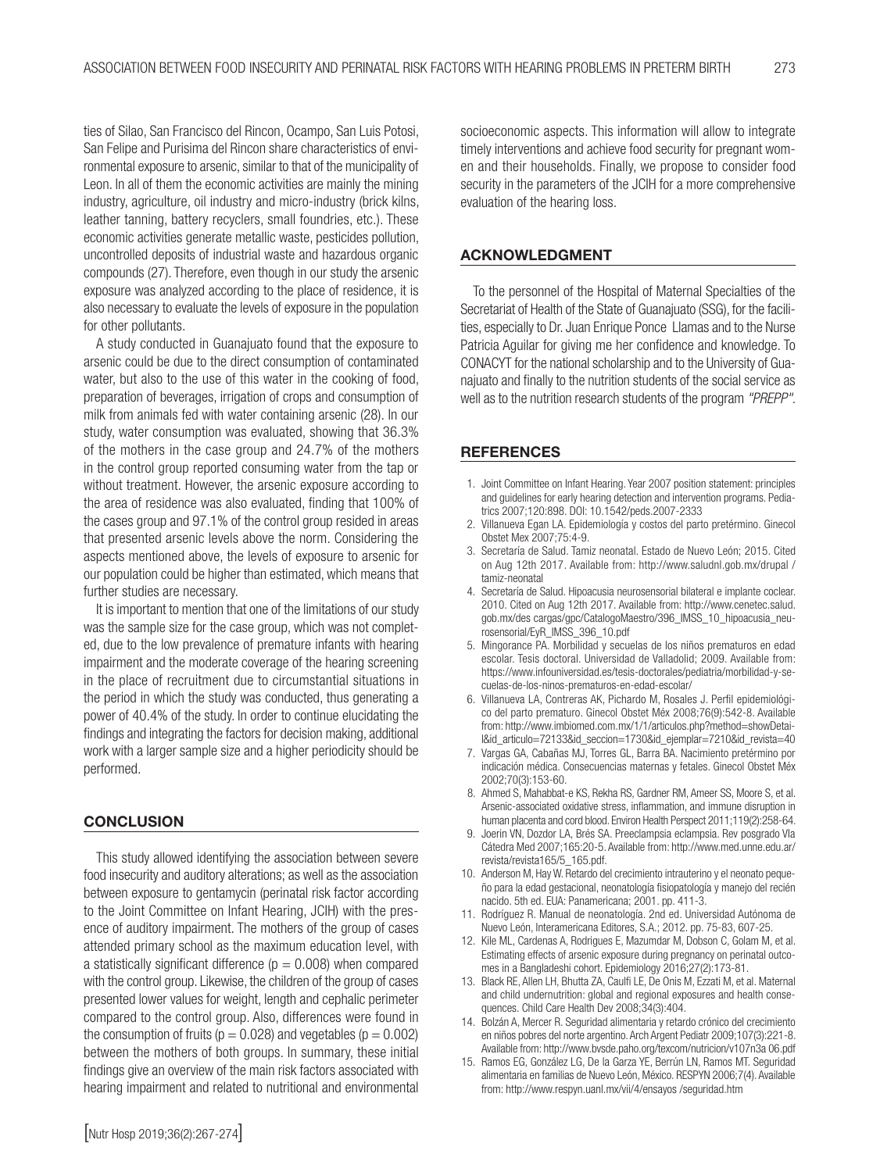ties of Silao, San Francisco del Rincon, Ocampo, San Luis Potosi, San Felipe and Purisima del Rincon share characteristics of environmental exposure to arsenic, similar to that of the municipality of Leon. In all of them the economic activities are mainly the mining industry, agriculture, oil industry and micro-industry (brick kilns, leather tanning, battery recyclers, small foundries, etc.). These economic activities generate metallic waste, pesticides pollution, uncontrolled deposits of industrial waste and hazardous organic compounds (27). Therefore, even though in our study the arsenic exposure was analyzed according to the place of residence, it is also necessary to evaluate the levels of exposure in the population for other pollutants.

A study conducted in Guanajuato found that the exposure to arsenic could be due to the direct consumption of contaminated water, but also to the use of this water in the cooking of food, preparation of beverages, irrigation of crops and consumption of milk from animals fed with water containing arsenic (28). In our study, water consumption was evaluated, showing that 36.3% of the mothers in the case group and 24.7% of the mothers in the control group reported consuming water from the tap or without treatment. However, the arsenic exposure according to the area of residence was also evaluated, finding that 100% of the cases group and 97.1% of the control group resided in areas that presented arsenic levels above the norm. Considering the aspects mentioned above, the levels of exposure to arsenic for our population could be higher than estimated, which means that further studies are necessary.

It is important to mention that one of the limitations of our study was the sample size for the case group, which was not completed, due to the low prevalence of premature infants with hearing impairment and the moderate coverage of the hearing screening in the place of recruitment due to circumstantial situations in the period in which the study was conducted, thus generating a power of 40.4% of the study. In order to continue elucidating the findings and integrating the factors for decision making, additional work with a larger sample size and a higher periodicity should be performed.

# **CONCLUSION**

This study allowed identifying the association between severe food insecurity and auditory alterations; as well as the association between exposure to gentamycin (perinatal risk factor according to the Joint Committee on Infant Hearing, JCIH) with the presence of auditory impairment. The mothers of the group of cases attended primary school as the maximum education level, with a statistically significant difference ( $p = 0.008$ ) when compared with the control group. Likewise, the children of the group of cases presented lower values for weight, length and cephalic perimeter compared to the control group. Also, differences were found in the consumption of fruits ( $p = 0.028$ ) and vegetables ( $p = 0.002$ ) between the mothers of both groups. In summary, these initial findings give an overview of the main risk factors associated with hearing impairment and related to nutritional and environmental

#### ACKNOWLEDGMENT

To the personnel of the Hospital of Maternal Specialties of the Secretariat of Health of the State of Guanajuato (SSG), for the facilities, especially to Dr. Juan Enrique Ponce Llamas and to the Nurse Patricia Aguilar for giving me her confidence and knowledge. To CONACYT for the national scholarship and to the University of Guanajuato and finally to the nutrition students of the social service as well as to the nutrition research students of the program *"PREPP".*

#### **REFERENCES**

- 1. Joint Committee on Infant Hearing. Year 2007 position statement: principles and guidelines for early hearing detection and intervention programs. Pediatrics 2007;120:898. DOI: 10.1542/peds.2007-2333
- 2. Villanueva Egan LA. Epidemiología y costos del parto pretérmino. Ginecol Obstet Mex 2007;75:4-9.
- 3. Secretaría de Salud. Tamiz neonatal. Estado de Nuevo León; 2015. Cited on Aug 12th 2017. Available from: http://www.saludnl.gob.mx/drupal / tamiz-neonatal
- 4. Secretaría de Salud. Hipoacusia neurosensorial bilateral e implante coclear. 2010. Cited on Aug 12th 2017. Available from: http://www.cenetec.salud. gob.mx/des cargas/gpc/CatalogoMaestro/396\_IMSS\_10\_hipoacusia\_neurosensorial/EyR\_IMSS\_396\_10.pdf
- 5. Mingorance PA. Morbilidad y secuelas de los niños prematuros en edad escolar. Tesis doctoral. Universidad de Valladolid; 2009. Available from: https://www.infouniversidad.es/tesis-doctorales/pediatria/morbilidad-y-secuelas-de-los-ninos-prematuros-en-edad-escolar/
- 6. Villanueva LA, Contreras AK, Pichardo M, Rosales J. Perfil epidemiológico del parto prematuro. Ginecol Obstet Méx 2008;76(9):542-8. Available from: http://www.imbiomed.com.mx/1/1/articulos.php?method=showDetail&id\_articulo=72133&id\_seccion=1730&id\_ejemplar=7210&id\_revista=40
- 7. Vargas GA, Cabañas MJ, Torres GL, Barra BA. Nacimiento pretérmino por indicación médica. Consecuencias maternas y fetales. Ginecol Obstet Méx 2002;70(3):153-60.
- 8. Ahmed S, Mahabbat-e KS, Rekha RS, Gardner RM, Ameer SS, Moore S, et al. Arsenic-associated oxidative stress, inflammation, and immune disruption in human placenta and cord blood. Environ Health Perspect 2011;119(2):258-64.
- 9. Joerin VN, Dozdor LA, Brés SA. Preeclampsia eclampsia. Rev posgrado VIa Cátedra Med 2007;165:20-5. Available from: http://www.med.unne.edu.ar/ revista/revista165/5\_165.pdf.
- 10. Anderson M, Hay W. Retardo del crecimiento intrauterino y el neonato pequeño para la edad gestacional, neonatología fisiopatología y manejo del recién nacido. 5th ed. EUA: Panamericana; 2001. pp. 411-3.
- 11. Rodríguez R. Manual de neonatología. 2nd ed. Universidad Autónoma de Nuevo León, Interamericana Editores, S.A.; 2012. pp. 75-83, 607-25.
- 12. Kile ML, Cardenas A, Rodrigues E, Mazumdar M, Dobson C, Golam M, et al. Estimating effects of arsenic exposure during pregnancy on perinatal outcomes in a Bangladeshi cohort. Epidemiology 2016;27(2):173-81.
- 13. Black RE, Allen LH, Bhutta ZA, Caulfi LE, De Onis M, Ezzati M, et al. Maternal and child undernutrition: global and regional exposures and health consequences. Child Care Health Dev 2008;34(3):404.
- 14. Bolzán A, Mercer R. Seguridad alimentaria y retardo crónico del crecimiento en niños pobres del norte argentino. Arch Argent Pediatr 2009;107(3):221-8. Available from: http://www.bvsde.paho.org/texcom/nutricion/v107n3a 06.pdf
- 15. Ramos EG, González LG, De la Garza YE, Berrún LN, Ramos MT. Seguridad alimentaria en familias de Nuevo León, México. RESPYN 2006;7(4). Available from: http://www.respyn.uanl.mx/vii/4/ensayos /seguridad.htm